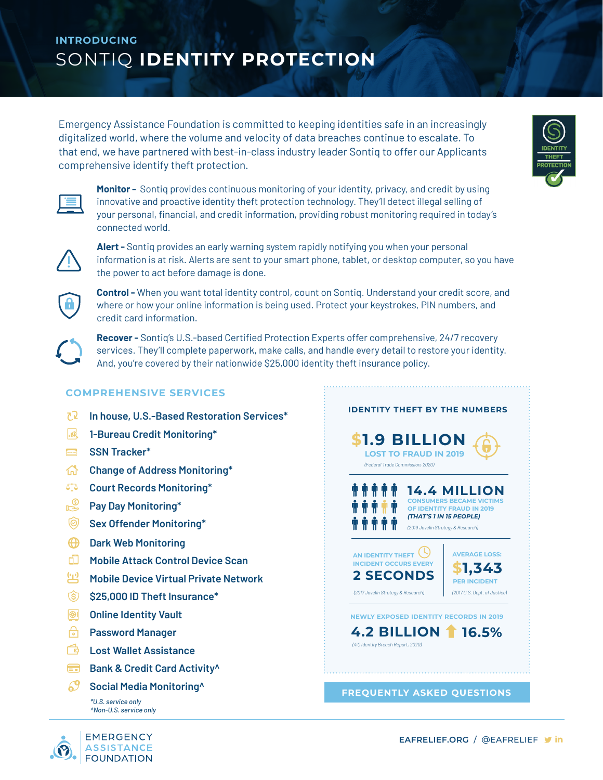## **INTRODUCING**  SONTIQ **IDENTITY PROTECTION**

Emergency Assistance Foundation is committed to keeping identities safe in an increasingly digitalized world, where the volume and velocity of data breaches continue to escalate. To that end, we have partnered with best-in-class industry leader Sontiq to offer our Applicants comprehensive identify theft protection.



**Monitor -** Sontiq provides continuous monitoring of your identity, privacy, and credit by using innovative and proactive identity theft protection technology. They'll detect illegal selling of your personal, financial, and credit information, providing robust monitoring required in today's connected world.



**Alert -** Sontiq provides an early warning system rapidly notifying you when your personal information is at risk. Alerts are sent to your smart phone, tablet, or desktop computer, so you have the power to act before damage is done.



**Control -** When you want total identity control, count on Sontiq. Understand your credit score, and where or how your online information is being used. Protect your keystrokes, PIN numbers, and credit card information.



**Recover -** Sontiq's U.S.-based Certified Protection Experts offer comprehensive, 24/7 recovery services. They'll complete paperwork, make calls, and handle every detail to restore your identity. And, you're covered by their nationwide \$25,000 identity theft insurance policy.

## **COMPREHENSIVE SERVICES**

- 72 L **In house, U.S.-Based Restoration Services\***
- $\mathbb{R}$ **1-Bureau Credit Monitoring\***
- **SSN Tracker\***
- **Change of Address Monitoring\***
- **Court Records Monitoring\***
- ட் **Pay Day Monitoring\***
- |⊚ **Sex Offender Monitoring\***
- $\bigoplus$ **Dark Web Monitoring**
- m. **Mobile Attack Control Device Scan**
- 坐 **Mobile Device Virtual Private Network**
- ্ঠে **\$25,000 ID Theft Insurance\***
- $\boxed{\bigcircledR}$ **Online Identity Vault**
- **Password Manager**
- **Lost Wallet Assistance**
- **Bank & Credit Card Activity**
- **Social Media Monitoring**<sup>^</sup>

*\*U.S. service only ^Non-U.S. service only*



**IDENTITY THEFT BY THE NUMBERS \$1.9 BILLION LOST TO FRAUD IN 2019 14.4 MILLION CONSUMERS BECAME VICTI OF IDENTITY FRAUD IN 2019** *(THAT'S 1 IN 15 PEOPLE)* **2 SECONDS \$1,343 4.2 BILLION 16.5% AN IDENTITY THEFT**  $\bigcirc$ **INCIDENT OCCURS EVERY AVERAGE LOSS: PER INCIDENT NEWLY EXPOSED IDENTITY RECORDS IN 2019** *(Federal Trade Commission, 2020) (2019 Javelin Strategy & Research) (2017 Javelin Strategy & Research) (2017 U.S. Dept. of Justice) (4iQ Identity Breach Report, 2020)*

**[FREQUENTLY ASKED QUESTIONS](https://helpcenter.sontiq.com/)**